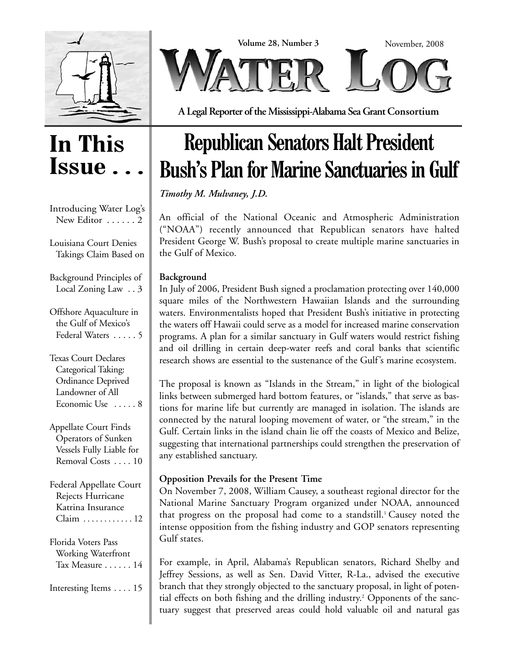



**A Legal Reporter of the Mississippi-Alabama Sea Grant Consortium**

### **In This Issue**

| Introducing Water Log's<br>New Editor  2                                                                 |
|----------------------------------------------------------------------------------------------------------|
| Louisiana Court Denies<br>Takings Claim Based on                                                         |
| Background Principles of<br>Local Zoning Law 3                                                           |
| Offshore Aquaculture in<br>the Gulf of Mexico's<br>Federal Waters  5                                     |
| Texas Court Declares<br>Categorical Taking:<br>Ordinance Deprived<br>Landowner of All<br>Economic Use  8 |
| Appellate Court Finds<br>Operators of Sunken<br>Vessels Fully Liable for<br>Removal Costs 10             |
| <b>Federal Appellate Court</b><br>Rejects Hurricane<br>Katrina Insurance<br>Claim  12                    |
| Florida Voters Pass<br>Working Waterfront<br>Tax Measure  14                                             |
| Interesting Items 15                                                                                     |
|                                                                                                          |

## **Republican Senators Halt President Bush's Plan for Marine Sanctuaries in Gulf**

*Timothy M. Mulvaney, J.D.*

An official of the National Oceanic and Atmospheric Administration ("NOAA") recently announced that Republican senators have halted President George W. Bush's proposal to create multiple marine sanctuaries in the Gulf of Mexico.

### **Background**

In July of 2006, President Bush signed a proclamation protecting over 140,000 square miles of the Northwestern Hawaiian Islands and the surrounding waters. Environmentalists hoped that President Bush's initiative in protecting the waters off Hawaii could serve as a model for increased marine conservation programs. A plan for a similar sanctuary in Gulf waters would restrict fishing and oil drilling in certain deep-water reefs and coral banks that scientific research shows are essential to the sustenance of the Gulf's marine ecosystem.

The proposal is known as "Islands in the Stream," in light of the biological links between submerged hard bottom features, or "islands," that serve as bastions for marine life but currently are managed in isolation. The islands are connected by the natural looping movement of water, or "the stream," in the Gulf. Certain links in the island chain lie off the coasts of Mexico and Belize, suggesting that international partnerships could strengthen the preservation of any established sanctuary.

### **Opposition Prevails for the Present Time**

On November 7, 2008, William Causey, a southeast regional director for the National Marine Sanctuary Program organized under NOAA, announced that progress on the proposal had come to a standstill.<sup>1</sup> Causey noted the intense opposition from the fishing industry and GOP senators representing Gulf states.

For example, in April, Alabama's Republican senators, Richard Shelby and Jeffrey Sessions, as well as Sen. David Vitter, R-La., advised the executive branch that they strongly objected to the sanctuary proposal, in light of potential effects on both fishing and the drilling industry.<sup>2</sup> Opponents of the sanctuary suggest that preserved areas could hold valuable oil and natural gas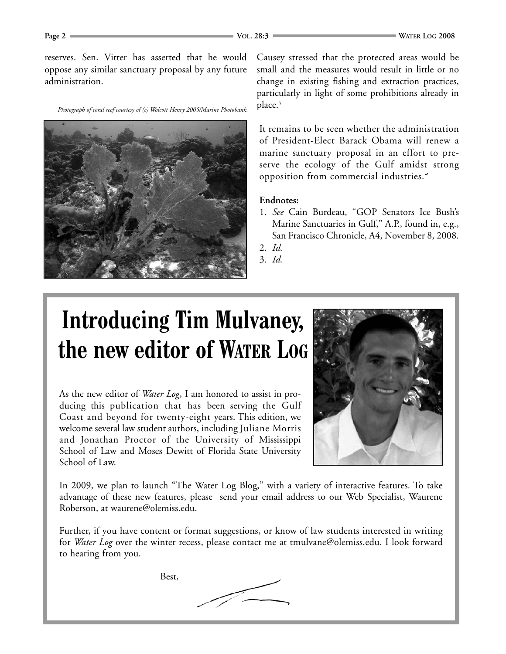reserves. Sen. Vitter has asserted that he would oppose any similar sanctuary proposal by any future administration.

*Photograph of coral reef courtesy of (c) Wolcott Henry 2005/Marine Photobank.*



Causey stressed that the protected areas would be small and the measures would result in little or no change in existing fishing and extraction practices, particularly in light of some prohibitions already in place.3

It remains to be seen whether the administration of President-Elect Barack Obama will renew a marine sanctuary proposal in an effort to preserve the ecology of the Gulf amidst strong opposition from commercial industries.

### **Endnotes:**

- 1. *See* Cain Burdeau, "GOP Senators Ice Bush's Marine Sanctuaries in Gulf," A.P., found in, e.g., San Francisco Chronicle, A4, November 8, 2008.
- 2. *Id.*

3. *Id.*

# **Introducing Tim Mulvaney, the new editor of WATER LOG**

As the new editor of *Water Log*, I am honored to assist in producing this publication that has been serving the Gulf Coast and beyond for twenty-eight years. This edition, we welcome several law student authors, including Juliane Morris and Jonathan Proctor of the University of Mississippi School of Law and Moses Dewitt of Florida State University School of Law.



In 2009, we plan to launch "The Water Log Blog," with a variety of interactive features. To take advantage of these new features, please send your email address to our Web Specialist, Waurene Roberson, at waurene@olemiss.edu.

Further, if you have content or format suggestions, or know of law students interested in writing for *Water Log* over the winter recess, please contact me at tmulvane@olemiss.edu. I look forward to hearing from you.

Best,

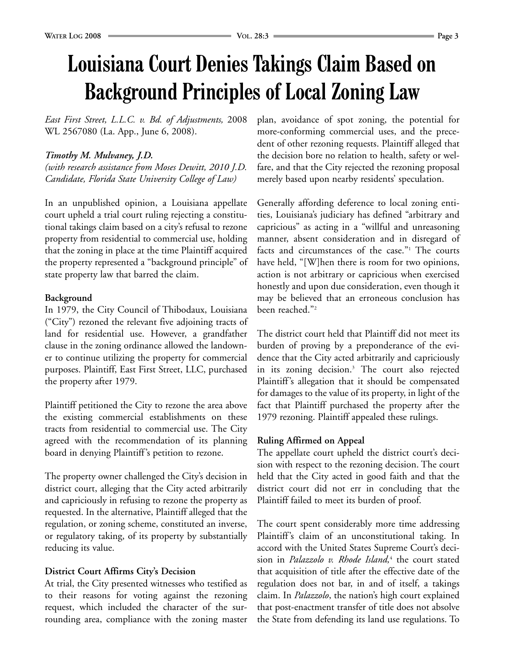### **Louisiana Court Denies Takings Claim Based on Background Principles of Local Zoning Law**

*East First Street, L.L.C. v. Bd. of Adjustments,* 2008 WL 2567080 (La. App., June 6, 2008).

### *Timothy M. Mulvaney, J.D.*

*(with research assistance from Moses Dewitt, 2010 J.D. Candidate, Florida State University College of Law)*

In an unpublished opinion, a Louisiana appellate court upheld a trial court ruling rejecting a constitutional takings claim based on a city's refusal to rezone property from residential to commercial use, holding that the zoning in place at the time Plaintiff acquired the property represented a "background principle" of state property law that barred the claim.

### **Background**

In 1979, the City Council of Thibodaux, Louisiana ("City") rezoned the relevant five adjoining tracts of land for residential use. However, a grandfather clause in the zoning ordinance allowed the landowner to continue utilizing the property for commercial purposes. Plaintiff, East First Street, LLC, purchased the property after 1979.

Plaintiff petitioned the City to rezone the area above the existing commercial establishments on these tracts from residential to commercial use. The City agreed with the recommendation of its planning board in denying Plaintiff's petition to rezone.

The property owner challenged the City's decision in district court, alleging that the City acted arbitrarily and capriciously in refusing to rezone the property as requested. In the alternative, Plaintiff alleged that the regulation, or zoning scheme, constituted an inverse, or regulatory taking, of its property by substantially reducing its value.

### **District Court Affirms City's Decision**

At trial, the City presented witnesses who testified as to their reasons for voting against the rezoning request, which included the character of the surrounding area, compliance with the zoning master plan, avoidance of spot zoning, the potential for more-conforming commercial uses, and the precedent of other rezoning requests. Plaintiff alleged that the decision bore no relation to health, safety or welfare, and that the City rejected the rezoning proposal merely based upon nearby residents' speculation.

Generally affording deference to local zoning entities, Louisiana's judiciary has defined "arbitrary and capricious" as acting in a "willful and unreasoning manner, absent consideration and in disregard of facts and circumstances of the case."<sup>1</sup> The courts have held, "[W]hen there is room for two opinions, action is not arbitrary or capricious when exercised honestly and upon due consideration, even though it may be believed that an erroneous conclusion has been reached."2

The district court held that Plaintiff did not meet its burden of proving by a preponderance of the evidence that the City acted arbitrarily and capriciously in its zoning decision.3 The court also rejected Plaintiff's allegation that it should be compensated for damages to the value of its property, in light of the fact that Plaintiff purchased the property after the 1979 rezoning. Plaintiff appealed these rulings.

### **Ruling Affirmed on Appeal**

The appellate court upheld the district court's decision with respect to the rezoning decision. The court held that the City acted in good faith and that the district court did not err in concluding that the Plaintiff failed to meet its burden of proof.

The court spent considerably more time addressing Plaintiff's claim of an unconstitutional taking. In accord with the United States Supreme Court's decision in *Palazzolo v. Rhode Island,*<sup>4</sup> the court stated that acquisition of title after the effective date of the regulation does not bar, in and of itself, a takings claim. In *Palazzolo*, the nation's high court explained that post-enactment transfer of title does not absolve the State from defending its land use regulations. To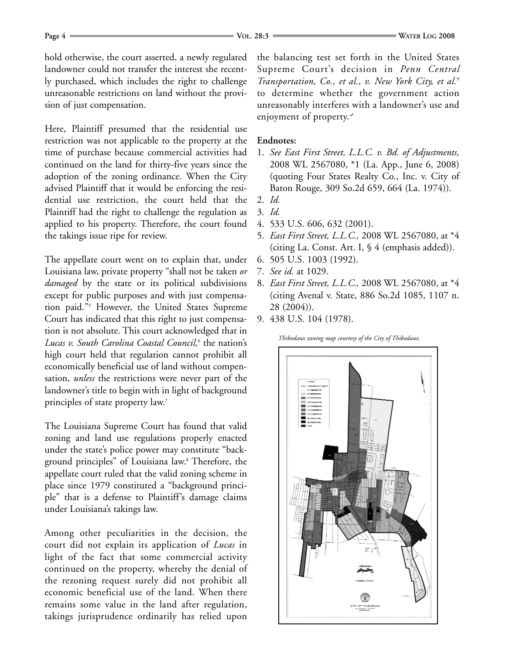hold otherwise, the court asserted, a newly regulated landowner could not transfer the interest she recently purchased, which includes the right to challenge unreasonable restrictions on land without the provision of just compensation.

Here, Plaintiff presumed that the residential use restriction was not applicable to the property at the time of purchase because commercial activities had continued on the land for thirty-five years since the adoption of the zoning ordinance. When the City advised Plaintiff that it would be enforcing the residential use restriction, the court held that the Plaintiff had the right to challenge the regulation as applied to his property. Therefore, the court found the takings issue ripe for review.

The appellate court went on to explain that, under Louisiana law, private property "shall not be taken *or damaged* by the state or its political subdivisions except for public purposes and with just compensation paid."5 However, the United States Supreme Court has indicated that this right to just compensation is not absolute. This court acknowledged that in *Lucas v. South Carolina Coastal Council,*<sup>6</sup> the nation's high court held that regulation cannot prohibit all economically beneficial use of land without compensation, *unless* the restrictions were never part of the landowner's title to begin with in light of background principles of state property law.<sup>7</sup>

The Louisiana Supreme Court has found that valid zoning and land use regulations properly enacted under the state's police power may constitute "background principles" of Louisiana law.8 Therefore, the appellate court ruled that the valid zoning scheme in place since 1979 constituted a "background principle" that is a defense to Plaintiff's damage claims under Louisiana's takings law.

Among other peculiarities in the decision, the court did not explain its application of *Lucas* in light of the fact that some commercial activity continued on the property, whereby the denial of the rezoning request surely did not prohibit all economic beneficial use of the land. When there remains some value in the land after regulation, takings jurisprudence ordinarily has relied upon

the balancing test set forth in the United States Supreme Court's decision in *Penn Central Transportation, Co., et al., v. New York City, et al.*<sup>9</sup> to determine whether the government action unreasonably interferes with a landowner's use and enjoyment of property.

### **Endnotes:**

- 1. *See East First Street, L.L.C. v. Bd. of Adjustments,* 2008 WL 2567080, \*1 (La. App., June 6, 2008) (quoting Four States Realty Co., Inc. v. City of Baton Rouge, 309 So.2d 659, 664 (La. 1974)).
- 2. *Id.*
- 3. *Id.*
- 4. 533 U.S. 606, 632 (2001).
- 5. *East First Street, L.L.C.,* 2008 WL 2567080, at \*4 (citing La. Const. Art. I, § 4 (emphasis added)).
- 6. 505 U.S. 1003 (1992).
- 7. *See id.* at 1029.
- 8. *East First Street, L.L.C.,* 2008 WL 2567080, at \*4 (citing Avenal v. State, 886 So.2d 1085, 1107 n. 28 (2004)).
- 9. 438 U.S. 104 (1978).

*Thibodaux zoning map courtesy of the City of Thibodaux.*

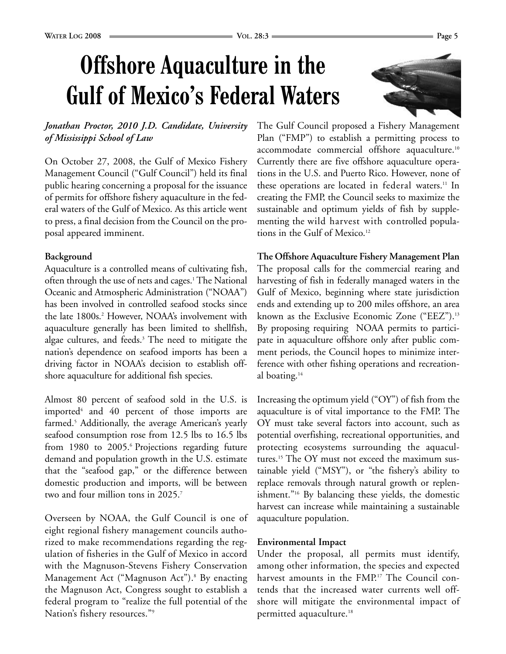# **Offshore Aquaculture in the Gulf of Mexico's Federal Waters**



**The Offshore Aquaculture Fishery Management Plan** The proposal calls for the commercial rearing and harvesting of fish in federally managed waters in the Gulf of Mexico, beginning where state jurisdiction ends and extending up to 200 miles offshore, an area known as the Exclusive Economic Zone ("EEZ").<sup>13</sup> By proposing requiring NOAA permits to participate in aquaculture offshore only after public comment periods, the Council hopes to minimize interference with other fishing operations and recreational boating.<sup>14</sup>

Increasing the optimum yield ("OY") of fish from the aquaculture is of vital importance to the FMP. The OY must take several factors into account, such as potential overfishing, recreational opportunities, and protecting ecosystems surrounding the aquacultures.15 The OY must not exceed the maximum sustainable yield ("MSY"), or "the fishery's ability to replace removals through natural growth or replenishment."16 By balancing these yields, the domestic harvest can increase while maintaining a sustainable aquaculture population.

### **Environmental Impact**

Under the proposal, all permits must identify, among other information, the species and expected harvest amounts in the FMP.<sup>17</sup> The Council contends that the increased water currents well offshore will mitigate the environmental impact of permitted aquaculture.18

### *Jonathan Proctor, 2010 J.D. Candidate, University of Mississippi School of Law*

On October 27, 2008, the Gulf of Mexico Fishery Management Council ("Gulf Council") held its final public hearing concerning a proposal for the issuance of permits for offshore fishery aquaculture in the federal waters of the Gulf of Mexico. As this article went to press, a final decision from the Council on the proposal appeared imminent.

### **Background**

Aquaculture is a controlled means of cultivating fish, often through the use of nets and cages.<sup>1</sup> The National Oceanic and Atmospheric Administration ("NOAA") has been involved in controlled seafood stocks since the late 1800s.2 However, NOAA's involvement with aquaculture generally has been limited to shellfish, algae cultures, and feeds.3 The need to mitigate the nation's dependence on seafood imports has been a driving factor in NOAA's decision to establish offshore aquaculture for additional fish species.

Almost 80 percent of seafood sold in the U.S. is imported $4$  and  $40$  percent of those imports are farmed.<sup>5</sup> Additionally, the average American's yearly seafood consumption rose from 12.5 lbs to 16.5 lbs from 1980 to 2005.<sup>6</sup> Projections regarding future demand and population growth in the U.S. estimate that the "seafood gap," or the difference between domestic production and imports, will be between two and four million tons in 2025.<sup>7</sup>

Overseen by NOAA, the Gulf Council is one of eight regional fishery management councils authorized to make recommendations regarding the regulation of fisheries in the Gulf of Mexico in accord with the Magnuson-Stevens Fishery Conservation Management Act ("Magnuson Act").<sup>8</sup> By enacting the Magnuson Act, Congress sought to establish a federal program to "realize the full potential of the Nation's fishery resources."9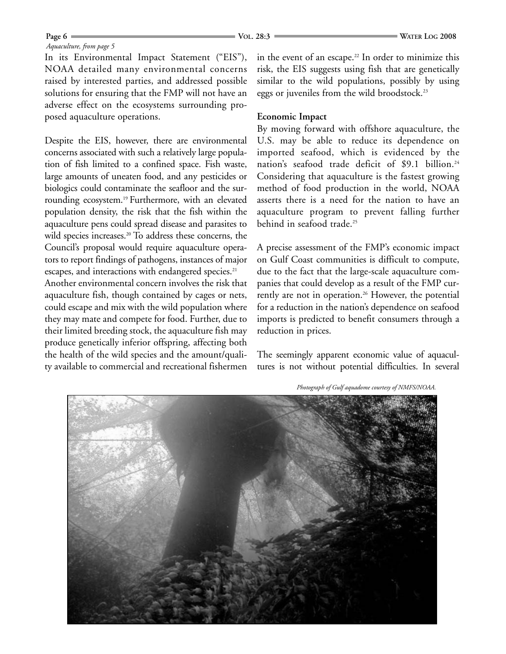#### *Aquaculture, from page 5*

In its Environmental Impact Statement ("EIS"), NOAA detailed many environmental concerns raised by interested parties, and addressed possible solutions for ensuring that the FMP will not have an adverse effect on the ecosystems surrounding proposed aquaculture operations.

Despite the EIS, however, there are environmental concerns associated with such a relatively large population of fish limited to a confined space. Fish waste, large amounts of uneaten food, and any pesticides or biologics could contaminate the seafloor and the surrounding ecosystem.<sup>19</sup> Furthermore, with an elevated population density, the risk that the fish within the aquaculture pens could spread disease and parasites to wild species increases.<sup>20</sup> To address these concerns, the Council's proposal would require aquaculture operators to report findings of pathogens, instances of major escapes, and interactions with endangered species.<sup>21</sup>

Another environmental concern involves the risk that aquaculture fish, though contained by cages or nets, could escape and mix with the wild population where they may mate and compete for food. Further, due to their limited breeding stock, the aquaculture fish may produce genetically inferior offspring, affecting both the health of the wild species and the amount/quality available to commercial and recreational fishermen

in the event of an escape.<sup>22</sup> In order to minimize this risk, the EIS suggests using fish that are genetically similar to the wild populations, possibly by using eggs or juveniles from the wild broodstock.<sup>23</sup>

### **Economic Impact**

By moving forward with offshore aquaculture, the U.S. may be able to reduce its dependence on imported seafood, which is evidenced by the nation's seafood trade deficit of \$9.1 billion.<sup>24</sup> Considering that aquaculture is the fastest growing method of food production in the world, NOAA asserts there is a need for the nation to have an aquaculture program to prevent falling further behind in seafood trade.<sup>25</sup>

A precise assessment of the FMP's economic impact on Gulf Coast communities is difficult to compute, due to the fact that the large-scale aquaculture companies that could develop as a result of the FMP currently are not in operation.<sup>26</sup> However, the potential for a reduction in the nation's dependence on seafood imports is predicted to benefit consumers through a reduction in prices.

The seemingly apparent economic value of aquacultures is not without potential difficulties. In several

*Photograph of Gulf aquadome courtesy of NMFS/NOAA.*

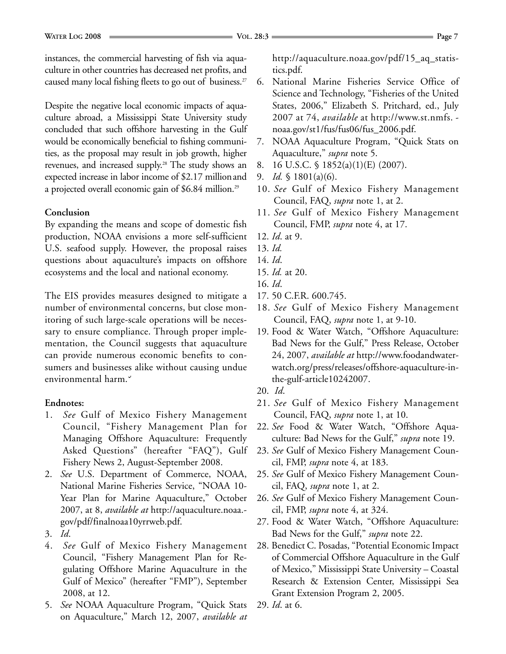instances, the commercial harvesting of fish via aquaculture in other countries has decreased net profits, and caused many local fishing fleets to go out of business.<sup>27</sup>

Despite the negative local economic impacts of aquaculture abroad, a Mississippi State University study concluded that such offshore harvesting in the Gulf would be economically beneficial to fishing communities, as the proposal may result in job growth, higher revenues, and increased supply.28 The study shows an expected increase in labor income of \$2.17 millionand a projected overall economic gain of \$6.84 million.29

### **Conclusion**

By expanding the means and scope of domestic fish production, NOAA envisions a more self-sufficient U.S. seafood supply. However, the proposal raises questions about aquaculture's impacts on offshore ecosystems and the local and national economy.

The EIS provides measures designed to mitigate a number of environmental concerns, but close monitoring of such large-scale operations will be necessary to ensure compliance. Through proper implementation, the Council suggests that aquaculture can provide numerous economic benefits to consumers and businesses alike without causing undue environmental harm.

#### **Endnotes:**

- 1. *See* Gulf of Mexico Fishery Management Council, "Fishery Management Plan for Managing Offshore Aquaculture: Frequently Asked Questions" (hereafter "FAQ"), Gulf Fishery News 2, August-September 2008.
- 2. *See* U.S. Department of Commerce, NOAA, National Marine Fisheries Service, "NOAA 10- Year Plan for Marine Aquaculture," October 2007, at 8, *available at* http://aquaculture.noaa. gov/pdf/finalnoaa10yrrweb.pdf.
- 3. *Id*.
- 4. *See* Gulf of Mexico Fishery Management Council, "Fishery Management Plan for Regulating Offshore Marine Aquaculture in the Gulf of Mexico" (hereafter "FMP"), September 2008, at 12.
- 5. *See* NOAA Aquaculture Program, "Quick Stats on Aquaculture," March 12, 2007, *available at*

http://aquaculture.noaa.gov/pdf/15\_aq\_statistics.pdf.

- 6. National Marine Fisheries Service Office of Science and Technology, "Fisheries of the United States, 2006," Elizabeth S. Pritchard, ed., July 2007 at 74, *available* at http://www.st.nmfs. noaa.gov/st1/fus/fus06/fus\_2006.pdf.
- 7. NOAA Aquaculture Program, "Quick Stats on Aquaculture," *supra* note 5.
- 8. 16 U.S.C. § 1852(a)(1)(E) (2007).
- 9. *Id.* § 1801(a)(6).
- 10. *See* Gulf of Mexico Fishery Management Council, FAQ, *supra* note 1, at 2.
- 11. *See* Gulf of Mexico Fishery Management Council, FMP, *supra* note 4, at 17.
- 12. *Id*. at 9.
- 13. *Id.*
- 14. *Id*.
- 15. *Id.* at 20.
- 16. *Id*.
- 17. 50 C.F.R. 600.745.
- 18. *See* Gulf of Mexico Fishery Management Council, FAQ, *supra* note 1, at 9-10.
- 19. Food & Water Watch, "Offshore Aquaculture: Bad News for the Gulf," Press Release, October 24, 2007, *available at* http://www.foodandwaterwatch.org/press/releases/offshore-aquaculture-inthe-gulf-article10242007.
- 20. *Id*.
- 21. *See* Gulf of Mexico Fishery Management Council, FAQ, *supra* note 1, at 10.
- 22. *See* Food & Water Watch, "Offshore Aquaculture: Bad News for the Gulf," *supra* note 19.
- 23. *See* Gulf of Mexico Fishery Management Council, FMP, *supra* note 4, at 183.
- 25. *See* Gulf of Mexico Fishery Management Council, FAQ, *supra* note 1, at 2.
- 26. *See* Gulf of Mexico Fishery Management Council, FMP, *supra* note 4, at 324.
- 27. Food & Water Watch, "Offshore Aquaculture: Bad News for the Gulf," *supra* note 22.
- 28. Benedict C. Posadas, "Potential Economic Impact of Commercial Offshore Aquaculture in the Gulf of Mexico," Mississippi State University – Coastal Research & Extension Center, Mississippi Sea Grant Extension Program 2, 2005.
- 29. *Id*. at 6.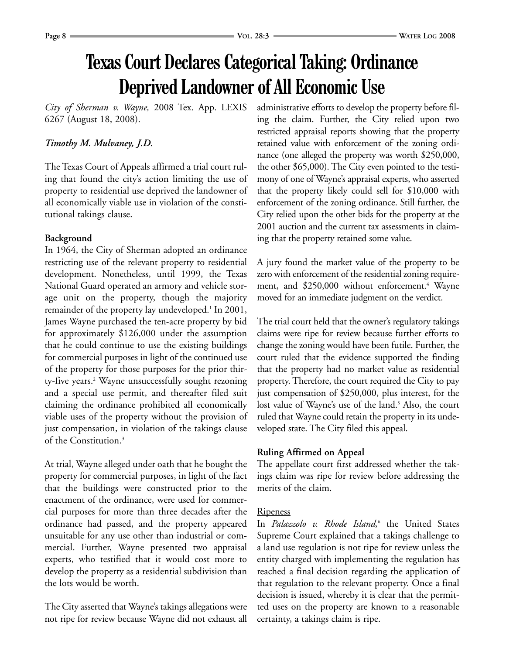### **Texas Court Declares Categorical Taking: Ordinance Deprived Landowner of All Economic Use**

*City of Sherman v. Wayne,* 2008 Tex. App. LEXIS 6267 (August 18, 2008).

### *Timothy M. Mulvaney, J.D.*

The Texas Court of Appeals affirmed a trial court ruling that found the city's action limiting the use of property to residential use deprived the landowner of all economically viable use in violation of the constitutional takings clause.

### **Background**

In 1964, the City of Sherman adopted an ordinance restricting use of the relevant property to residential development. Nonetheless, until 1999, the Texas National Guard operated an armory and vehicle storage unit on the property, though the majority remainder of the property lay undeveloped.<sup>1</sup> In 2001, James Wayne purchased the ten-acre property by bid for approximately \$126,000 under the assumption that he could continue to use the existing buildings for commercial purposes in light of the continued use of the property for those purposes for the prior thirty-five years.<sup>2</sup> Wayne unsuccessfully sought rezoning and a special use permit, and thereafter filed suit claiming the ordinance prohibited all economically viable uses of the property without the provision of just compensation, in violation of the takings clause of the Constitution.3

At trial, Wayne alleged under oath that he bought the property for commercial purposes, in light of the fact that the buildings were constructed prior to the enactment of the ordinance, were used for commercial purposes for more than three decades after the ordinance had passed, and the property appeared unsuitable for any use other than industrial or commercial. Further, Wayne presented two appraisal experts, who testified that it would cost more to develop the property as a residential subdivision than the lots would be worth.

The City asserted that Wayne's takings allegations were not ripe for review because Wayne did not exhaust all administrative efforts to develop the property before filing the claim. Further, the City relied upon two restricted appraisal reports showing that the property retained value with enforcement of the zoning ordinance (one alleged the property was worth \$250,000, the other \$65,000). The City even pointed to the testimony of one of Wayne's appraisal experts, who asserted that the property likely could sell for \$10,000 with enforcement of the zoning ordinance. Still further, the City relied upon the other bids for the property at the 2001 auction and the current tax assessments in claiming that the property retained some value.

A jury found the market value of the property to be zero with enforcement of the residential zoning requirement, and \$250,000 without enforcement.<sup>4</sup> Wayne moved for an immediate judgment on the verdict.

The trial court held that the owner's regulatory takings claims were ripe for review because further efforts to change the zoning would have been futile. Further, the court ruled that the evidence supported the finding that the property had no market value as residential property. Therefore, the court required the City to pay just compensation of \$250,000, plus interest, for the lost value of Wayne's use of the land.<sup>5</sup> Also, the court ruled that Wayne could retain the property in its undeveloped state. The City filed this appeal.

### **Ruling Affirmed on Appeal**

The appellate court first addressed whether the takings claim was ripe for review before addressing the merits of the claim.

### Ripeness

In *Palazzolo v. Rhode Island,*<sup>6</sup> the United States Supreme Court explained that a takings challenge to a land use regulation is not ripe for review unless the entity charged with implementing the regulation has reached a final decision regarding the application of that regulation to the relevant property. Once a final decision is issued, whereby it is clear that the permitted uses on the property are known to a reasonable certainty, a takings claim is ripe.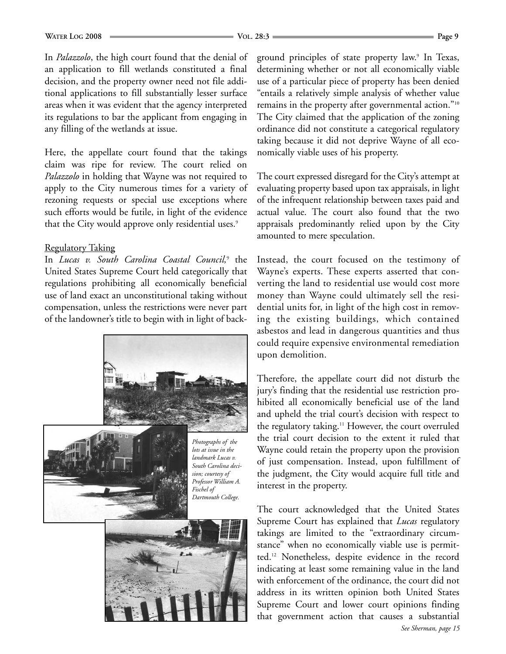In *Palazzolo*, the high court found that the denial of an application to fill wetlands constituted a final decision, and the property owner need not file additional applications to fill substantially lesser surface areas when it was evident that the agency interpreted its regulations to bar the applicant from engaging in any filling of the wetlands at issue.

Here, the appellate court found that the takings claim was ripe for review. The court relied on *Palazzolo* in holding that Wayne was not required to apply to the City numerous times for a variety of rezoning requests or special use exceptions where such efforts would be futile, in light of the evidence that the City would approve only residential uses.<sup>9</sup>

### Regulatory Taking

In *Lucas v. South Carolina Coastal Council,*<sup>9</sup> the United States Supreme Court held categorically that regulations prohibiting all economically beneficial use of land exact an unconstitutional taking without compensation, unless the restrictions were never part of the landowner's title to begin with in light of back-





*Photographs of the lots at issue in the landmark Lucas v. South Carolina decision; courtesy of Professor William A. Fischel of Dartmouth College.*



ground principles of state property law.<sup>9</sup> In Texas, determining whether or not all economically viable use of a particular piece of property has been denied "entails a relatively simple analysis of whether value remains in the property after governmental action."10 The City claimed that the application of the zoning ordinance did not constitute a categorical regulatory taking because it did not deprive Wayne of all economically viable uses of his property.

The court expressed disregard for the City's attempt at evaluating property based upon tax appraisals, in light of the infrequent relationship between taxes paid and actual value. The court also found that the two appraisals predominantly relied upon by the City amounted to mere speculation.

Instead, the court focused on the testimony of Wayne's experts. These experts asserted that converting the land to residential use would cost more money than Wayne could ultimately sell the residential units for, in light of the high cost in removing the existing buildings, which contained asbestos and lead in dangerous quantities and thus could require expensive environmental remediation upon demolition.

Therefore, the appellate court did not disturb the jury's finding that the residential use restriction prohibited all economically beneficial use of the land and upheld the trial court's decision with respect to the regulatory taking.<sup>11</sup> However, the court overruled the trial court decision to the extent it ruled that Wayne could retain the property upon the provision of just compensation. Instead, upon fulfillment of the judgment, the City would acquire full title and interest in the property.

The court acknowledged that the United States Supreme Court has explained that *Lucas* regulatory takings are limited to the "extraordinary circumstance" when no economically viable use is permitted.12 Nonetheless, despite evidence in the record indicating at least some remaining value in the land with enforcement of the ordinance, the court did not address in its written opinion both United States Supreme Court and lower court opinions finding that government action that causes a substantial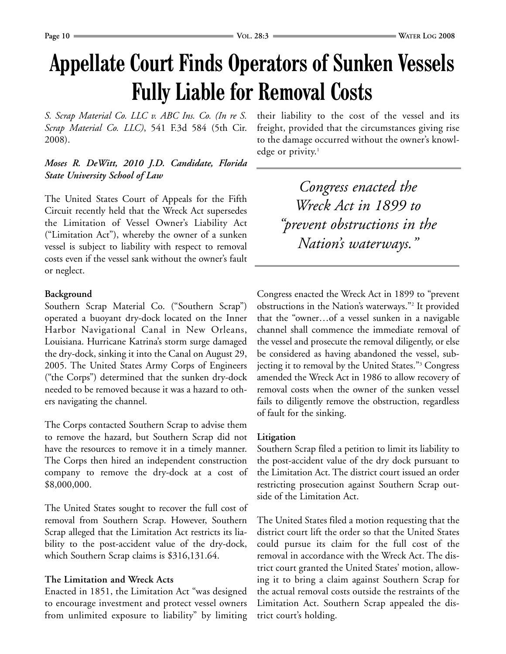# **Appellate Court Finds Operators of Sunken Vessels Fully Liable for Removal Costs**

*S. Scrap Material Co. LLC v. ABC Ins. Co. (In re S. Scrap Material Co. LLC)*, 541 F.3d 584 (5th Cir. 2008).

### *Moses R. DeWitt, 2010 J.D. Candidate, Florida State University School of Law*

The United States Court of Appeals for the Fifth Circuit recently held that the Wreck Act supersedes the Limitation of Vessel Owner's Liability Act ("Limitation Act"), whereby the owner of a sunken vessel is subject to liability with respect to removal costs even if the vessel sank without the owner's fault or neglect.

### **Background**

Southern Scrap Material Co. ("Southern Scrap") operated a buoyant dry-dock located on the Inner Harbor Navigational Canal in New Orleans, Louisiana. Hurricane Katrina's storm surge damaged the dry-dock, sinking it into the Canal on August 29, 2005. The United States Army Corps of Engineers ("the Corps") determined that the sunken dry-dock needed to be removed because it was a hazard to others navigating the channel.

The Corps contacted Southern Scrap to advise them to remove the hazard, but Southern Scrap did not have the resources to remove it in a timely manner. The Corps then hired an independent construction company to remove the dry-dock at a cost of \$8,000,000.

The United States sought to recover the full cost of removal from Southern Scrap. However, Southern Scrap alleged that the Limitation Act restricts its liability to the post-accident value of the dry-dock, which Southern Scrap claims is \$316,131.64.

### **The Limitation and Wreck Acts**

Enacted in 1851, the Limitation Act "was designed to encourage investment and protect vessel owners from unlimited exposure to liability" by limiting

their liability to the cost of the vessel and its freight, provided that the circumstances giving rise to the damage occurred without the owner's knowledge or privity. $1$ 

> *Congress enacted the Wreck Act in 1899 to "prevent obstructions in the Nation's waterways."*

Congress enacted the Wreck Act in 1899 to "prevent obstructions in the Nation's waterways."2 It provided that the "owner…of a vessel sunken in a navigable channel shall commence the immediate removal of the vessel and prosecute the removal diligently, or else be considered as having abandoned the vessel, subjecting it to removal by the United States."3 Congress amended the Wreck Act in 1986 to allow recovery of removal costs when the owner of the sunken vessel fails to diligently remove the obstruction, regardless of fault for the sinking.

### **Litigation**

Southern Scrap filed a petition to limit its liability to the post-accident value of the dry dock pursuant to the Limitation Act. The district court issued an order restricting prosecution against Southern Scrap outside of the Limitation Act.

The United States filed a motion requesting that the district court lift the order so that the United States could pursue its claim for the full cost of the removal in accordance with the Wreck Act. The district court granted the United States' motion, allowing it to bring a claim against Southern Scrap for the actual removal costs outside the restraints of the Limitation Act. Southern Scrap appealed the district court's holding.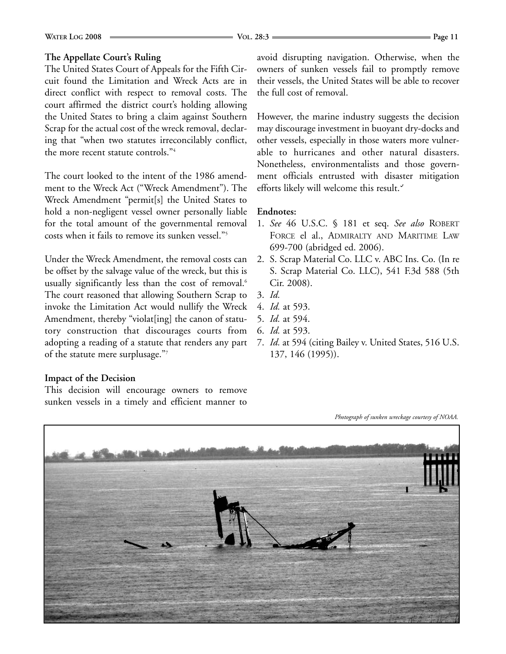### **WATER LOG** 2008 – **Page 11 VOL. 28:3 COL. 28:3 VOL. 28:3 VOL. 28:3 VOL. 28:3 Page 11**

### **The Appellate Court's Ruling**

The United States Court of Appeals for the Fifth Circuit found the Limitation and Wreck Acts are in direct conflict with respect to removal costs. The court affirmed the district court's holding allowing the United States to bring a claim against Southern Scrap for the actual cost of the wreck removal, declaring that "when two statutes irreconcilably conflict, the more recent statute controls."4

The court looked to the intent of the 1986 amendment to the Wreck Act ("Wreck Amendment"). The Wreck Amendment "permit[s] the United States to hold a non-negligent vessel owner personally liable for the total amount of the governmental removal costs when it fails to remove its sunken vessel."5

Under the Wreck Amendment, the removal costs can be offset by the salvage value of the wreck, but this is usually significantly less than the cost of removal.<sup>6</sup> The court reasoned that allowing Southern Scrap to invoke the Limitation Act would nullify the Wreck Amendment, thereby "violat[ing] the canon of statutory construction that discourages courts from adopting a reading of a statute that renders any part of the statute mere surplusage."7

### avoid disrupting navigation. Otherwise, when the owners of sunken vessels fail to promptly remove their vessels, the United States will be able to recover the full cost of removal.

However, the marine industry suggests the decision may discourage investment in buoyant dry-docks and other vessels, especially in those waters more vulnerable to hurricanes and other natural disasters. Nonetheless, environmentalists and those government officials entrusted with disaster mitigation efforts likely will welcome this result.

### **Endnotes:**

- 1. *See* 46 U.S.C. § 181 et seq. *See also* ROBERT FORCE el al., ADMIRALTY AND MARITIME LAW 699-700 (abridged ed. 2006).
- 2. S. Scrap Material Co. LLC v. ABC Ins. Co. (In re S. Scrap Material Co. LLC), 541 F.3d 588 (5th Cir. 2008).
- 3. *Id.*
- 4. *Id.* at 593.
- 5. *Id.* at 594.
- 6. *Id.* at 593.
- 7. *Id.* at 594 (citing Bailey v. United States, 516 U.S. 137, 146 (1995)).

### **Impact of the Decision**

This decision will encourage owners to remove sunken vessels in a timely and efficient manner to

*Photograph of sunken wreckage courtesy of NOAA.* 

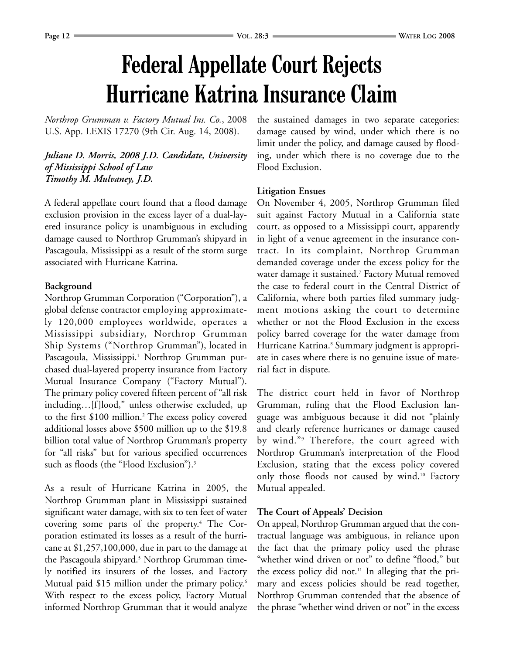# **Federal Appellate Court Rejects Hurricane Katrina Insurance Claim**

*Northrop Grumman v. Factory Mutual Ins. Co.*, 2008 U.S. App. LEXIS 17270 (9th Cir. Aug. 14, 2008).

*Juliane D. Morris, 2008 J.D. Candidate, University of Mississippi School of Law Timothy M. Mulvaney, J.D.*

A federal appellate court found that a flood damage exclusion provision in the excess layer of a dual-layered insurance policy is unambiguous in excluding damage caused to Northrop Grumman's shipyard in Pascagoula, Mississippi as a result of the storm surge associated with Hurricane Katrina.

### **Background**

Northrop Grumman Corporation ("Corporation"), a global defense contractor employing approximately 120,000 employees worldwide, operates a Mississippi subsidiary, Northrop Grumman Ship Systems ("Northrop Grumman"), located in Pascagoula, Mississippi.<sup>1</sup> Northrop Grumman purchased dual-layered property insurance from Factory Mutual Insurance Company ("Factory Mutual"). The primary policy covered fifteen percent of "all risk including…[f]lood," unless otherwise excluded, up to the first \$100 million.<sup>2</sup> The excess policy covered additional losses above \$500 million up to the \$19.8 billion total value of Northrop Grumman's property for "all risks" but for various specified occurrences such as floods (the "Flood Exclusion").<sup>3</sup>

As a result of Hurricane Katrina in 2005, the Northrop Grumman plant in Mississippi sustained significant water damage, with six to ten feet of water covering some parts of the property.4 The Corporation estimated its losses as a result of the hurricane at \$1,257,100,000, due in part to the damage at the Pascagoula shipyard.<sup>5</sup> Northrop Grumman timely notified its insurers of the losses, and Factory Mutual paid \$15 million under the primary policy.<sup>6</sup> With respect to the excess policy, Factory Mutual informed Northrop Grumman that it would analyze

the sustained damages in two separate categories: damage caused by wind, under which there is no limit under the policy, and damage caused by flooding, under which there is no coverage due to the Flood Exclusion.

### **Litigation Ensues**

On November 4, 2005, Northrop Grumman filed suit against Factory Mutual in a California state court, as opposed to a Mississippi court, apparently in light of a venue agreement in the insurance contract. In its complaint, Northrop Grumman demanded coverage under the excess policy for the water damage it sustained.<sup>7</sup> Factory Mutual removed the case to federal court in the Central District of California, where both parties filed summary judgment motions asking the court to determine whether or not the Flood Exclusion in the excess policy barred coverage for the water damage from Hurricane Katrina.<sup>8</sup> Summary judgment is appropriate in cases where there is no genuine issue of material fact in dispute.

The district court held in favor of Northrop Grumman, ruling that the Flood Exclusion language was ambiguous because it did not "plainly and clearly reference hurricanes or damage caused by wind."9 Therefore, the court agreed with Northrop Grumman's interpretation of the Flood Exclusion, stating that the excess policy covered only those floods not caused by wind.<sup>10</sup> Factory Mutual appealed.

### **The Court of Appeals' Decision**

On appeal, Northrop Grumman argued that the contractual language was ambiguous, in reliance upon the fact that the primary policy used the phrase "whether wind driven or not" to define "flood," but the excess policy did not.11 In alleging that the primary and excess policies should be read together, Northrop Grumman contended that the absence of the phrase "whether wind driven or not" in the excess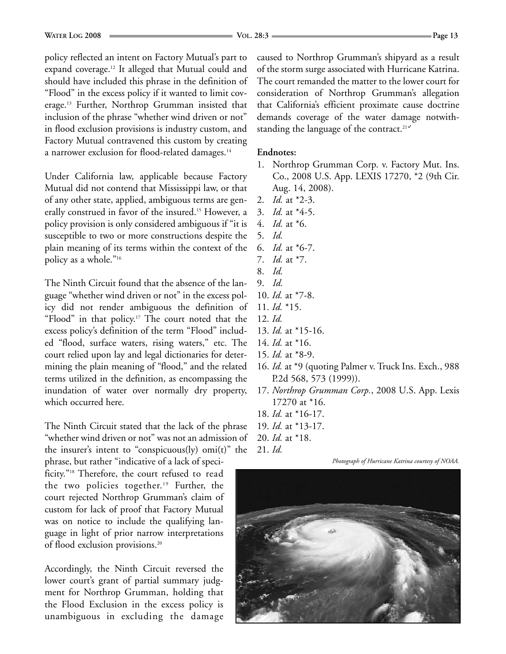policy reflected an intent on Factory Mutual's part to expand coverage.12 It alleged that Mutual could and should have included this phrase in the definition of "Flood" in the excess policy if it wanted to limit coverage.13 Further, Northrop Grumman insisted that inclusion of the phrase "whether wind driven or not" in flood exclusion provisions is industry custom, and Factory Mutual contravened this custom by creating a narrower exclusion for flood-related damages.<sup>14</sup>

Under California law, applicable because Factory Mutual did not contend that Mississippi law, or that of any other state, applied, ambiguous terms are generally construed in favor of the insured.<sup>15</sup> However, a policy provision is only considered ambiguous if "it is susceptible to two or more constructions despite the plain meaning of its terms within the context of the policy as a whole."16

The Ninth Circuit found that the absence of the language "whether wind driven or not" in the excess policy did not render ambiguous the definition of "Flood" in that policy.17 The court noted that the excess policy's definition of the term "Flood" included "flood, surface waters, rising waters," etc. The court relied upon lay and legal dictionaries for determining the plain meaning of "flood," and the related terms utilized in the definition, as encompassing the inundation of water over normally dry property, which occurred here.

The Ninth Circuit stated that the lack of the phrase "whether wind driven or not" was not an admission of the insurer's intent to "conspicuous(ly) omi(t)" the

phrase, but rather "indicative of a lack of specificity."18 Therefore, the court refused to read the two policies together.<sup>19</sup> Further, the court rejected Northrop Grumman's claim of custom for lack of proof that Factory Mutual was on notice to include the qualifying language in light of prior narrow interpretations of flood exclusion provisions.20

Accordingly, the Ninth Circuit reversed the lower court's grant of partial summary judgment for Northrop Grumman, holding that the Flood Exclusion in the excess policy is unambiguous in excluding the damage caused to Northrop Grumman's shipyard as a result of the storm surge associated with Hurricane Katrina. The court remanded the matter to the lower court for consideration of Northrop Grumman's allegation that California's efficient proximate cause doctrine demands coverage of the water damage notwithstanding the language of the contract.<sup>21</sup>

### **Endnotes:**

- 1. Northrop Grumman Corp. v. Factory Mut. Ins. Co., 2008 U.S. App. LEXIS 17270, \*2 (9th Cir. Aug. 14, 2008).
- 2. *Id.* at \*2-3.
- 3. *Id.* at \*4-5.
- 4. *Id.* at \*6.
- 5. *Id.*
- 6. *Id.* at \*6-7.
- 7. *Id.* at \*7.
- 8. *Id.*
- 9. *Id.*
- 10. *Id.* at \*7-8.
- 11. *Id.* \*15.
- 12. *Id.*
- 13. *Id.* at \*15-16.
- 14. *Id.* at \*16.
- 15. *Id.* at \*8-9.
- 16. *Id.* at \*9 (quoting Palmer v. Truck Ins. Exch., 988 P.2d 568, 573 (1999)).
- 17. *Northrop Grumman Corp.*, 2008 U.S. App. Lexis 17270 at \*16.
- 18. *Id.* at \*16-17.
- 19. *Id.* at \*13-17.
- 20. *Id.* at \*18.
- 21. *Id.*

#### *Photograph of Hurricane Katrina courtesy of NOAA.*

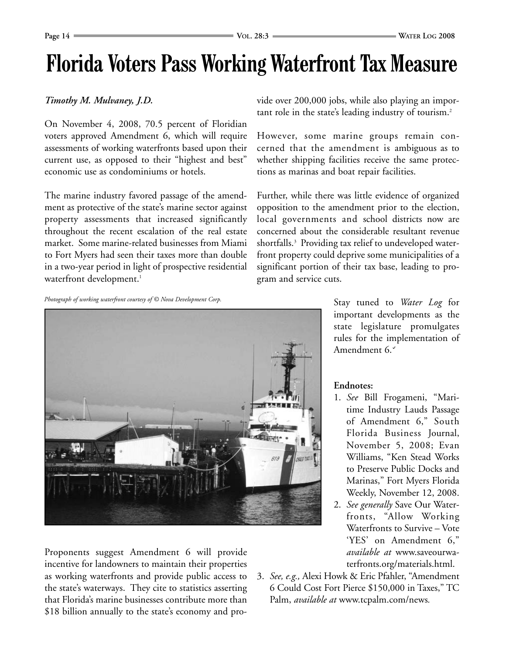### **Florida Voters Pass Working Waterfront Tax Measure**

### *Timothy M. Mulvaney, J.D.*

On November 4, 2008, 70.5 percent of Floridian voters approved Amendment 6, which will require assessments of working waterfronts based upon their current use, as opposed to their "highest and best" economic use as condominiums or hotels.

The marine industry favored passage of the amendment as protective of the state's marine sector against property assessments that increased significantly throughout the recent escalation of the real estate market. Some marine-related businesses from Miami to Fort Myers had seen their taxes more than double in a two-year period in light of prospective residential waterfront development.<sup>1</sup>

*Photograph of working waterfront courtesy of © Nova Development Corp.*



Proponents suggest Amendment 6 will provide incentive for landowners to maintain their properties as working waterfronts and provide public access to the state's waterways. They cite to statistics asserting that Florida's marine businesses contribute more than \$18 billion annually to the state's economy and provide over 200,000 jobs, while also playing an important role in the state's leading industry of tourism.<sup>2</sup>

However, some marine groups remain concerned that the amendment is ambiguous as to whether shipping facilities receive the same protections as marinas and boat repair facilities.

Further, while there was little evidence of organized opposition to the amendment prior to the election, local governments and school districts now are concerned about the considerable resultant revenue shortfalls.<sup>3</sup> Providing tax relief to undeveloped waterfront property could deprive some municipalities of a significant portion of their tax base, leading to program and service cuts.

> Stay tuned to *Water Log* for important developments as the state legislature promulgates rules for the implementation of Amendment 6.

### **Endnotes:**

- 1. *See* Bill Frogameni, "Maritime Industry Lauds Passage of Amendment 6," South Florida Business Journal, November 5, 2008; Evan Williams, "Ken Stead Works to Preserve Public Docks and Marinas," Fort Myers Florida Weekly, November 12, 2008.
- 2. *See generally* Save Our Waterfronts, "Allow Working Waterfronts to Survive – Vote 'YES' on Amendment 6," *available at* www.saveourwaterfronts.org/materials.html.
- 3. *See, e.g.,* Alexi Howk & Eric Pfahler, "Amendment 6 Could Cost Fort Pierce \$150,000 in Taxes," TC Palm, *available at* www.tcpalm.com/news*.*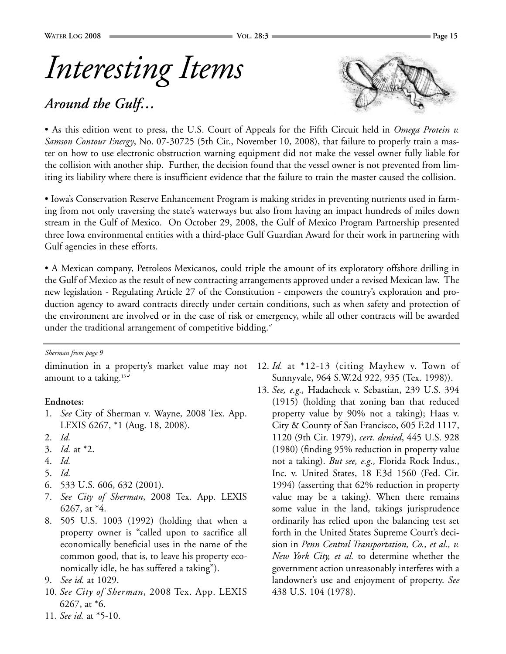### *Around the Gulf…*



• As this edition went to press, the U.S. Court of Appeals for the Fifth Circuit held in *Omega Protein v. Samson Contour Energy*, No. 07-30725 (5th Cir., November 10, 2008), that failure to properly train a master on how to use electronic obstruction warning equipment did not make the vessel owner fully liable for the collision with another ship. Further, the decision found that the vessel owner is not prevented from limiting its liability where there is insufficient evidence that the failure to train the master caused the collision.

• Iowa's Conservation Reserve Enhancement Program is making strides in preventing nutrients used in farming from not only traversing the state's waterways but also from having an impact hundreds of miles down stream in the Gulf of Mexico. On October 29, 2008, the Gulf of Mexico Program Partnership presented three Iowa environmental entities with a third-place Gulf Guardian Award for their work in partnering with Gulf agencies in these efforts.

• A Mexican company, Petroleos Mexicanos, could triple the amount of its exploratory offshore drilling in the Gulf of Mexico as the result of new contracting arrangements approved under a revised Mexican law. The new legislation - Regulating Article 27 of the Constitution - empowers the country's exploration and production agency to award contracts directly under certain conditions, such as when safety and protection of the environment are involved or in the case of risk or emergency, while all other contracts will be awarded under the traditional arrangement of competitive bidding."

#### *Sherman from page 9*

diminution in a property's market value may not amount to a taking. $13<sup>2</sup>$ 

### **Endnotes:**

- 1. *See* City of Sherman v. Wayne, 2008 Tex. App. LEXIS 6267, \*1 (Aug. 18, 2008).
- 2. *Id.*
- 3. *Id.* at \*2.
- 4. *Id.*
- 5. *Id.*
- 6. 533 U.S. 606, 632 (2001).
- 7. *See City of Sherman*, 2008 Tex. App. LEXIS 6267, at \*4.
- 8. 505 U.S. 1003 (1992) (holding that when a property owner is "called upon to sacrifice all economically beneficial uses in the name of the common good, that is, to leave his property economically idle, he has suffered a taking").
- 9. *See id.* at 1029.
- 10. *See City of Sherman*, 2008 Tex. App. LEXIS 6267, at \*6.
- 11. *See id.* at \*5-10.
- 12. *Id.* at \*12-13 (citing Mayhew v. Town of Sunnyvale, 964 S.W.2d 922, 935 (Tex. 1998)).
- 13. *See, e.g.,* Hadacheck v. Sebastian, 239 U.S. 394 (1915) (holding that zoning ban that reduced property value by 90% not a taking); Haas v. City & County of San Francisco, 605 F.2d 1117, 1120 (9th Cir. 1979), *cert. denied*, 445 U.S. 928 (1980) (finding 95% reduction in property value not a taking). *But see, e.g.,* Florida Rock Indus., Inc. v. United States, 18 F.3d 1560 (Fed. Cir. 1994) (asserting that 62% reduction in property value may be a taking). When there remains some value in the land, takings jurisprudence ordinarily has relied upon the balancing test set forth in the United States Supreme Court's decision in *Penn Central Transportation, Co., et al., v. New York City, et al.* to determine whether the government action unreasonably interferes with a landowner's use and enjoyment of property. *See* 438 U.S. 104 (1978).